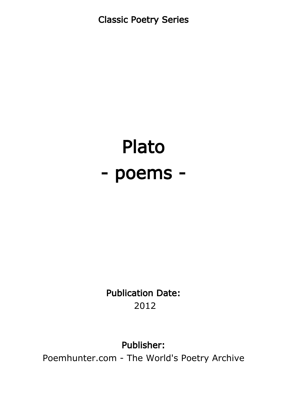Classic Poetry Series

# Plato - poems -

Publication Date: 2012

#### Publisher:

Poemhunter.com - The World's Poetry Archive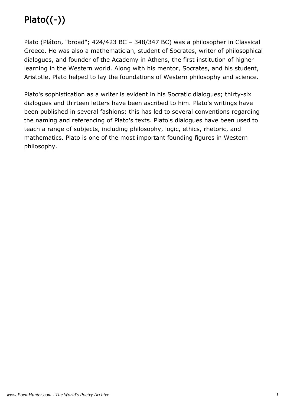## Plato((-))

Plato (Pláton, "broad"; 424/423 BC – 348/347 BC) was a philosopher in Classical Greece. He was also a mathematician, student of Socrates, writer of philosophical dialogues, and founder of the Academy in Athens, the first institution of higher learning in the Western world. Along with his mentor, Socrates, and his student, Aristotle, Plato helped to lay the foundations of Western philosophy and science.

Plato's sophistication as a writer is evident in his Socratic dialogues; thirty-six dialogues and thirteen letters have been ascribed to him. Plato's writings have been published in several fashions; this has led to several conventions regarding the naming and referencing of Plato's texts. Plato's dialogues have been used to teach a range of subjects, including philosophy, logic, ethics, rhetoric, and mathematics. Plato is one of the most important founding figures in Western philosophy.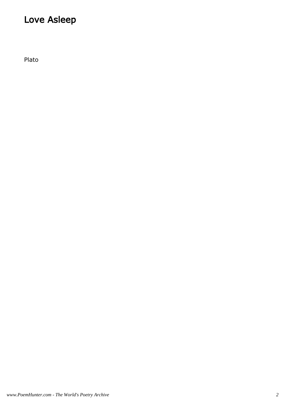#### Love Asleep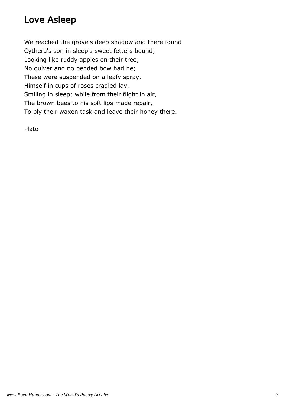#### Love Asleep

We reached the grove's deep shadow and there found Cythera's son in sleep's sweet fetters bound; Looking like ruddy apples on their tree; No quiver and no bended bow had he; These were suspended on a leafy spray. Himself in cups of roses cradled lay, Smiling in sleep; while from their flight in air, The brown bees to his soft lips made repair, To ply their waxen task and leave their honey there.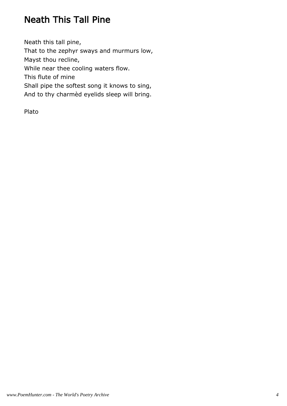#### Neath This Tall Pine

Neath this tall pine, That to the zephyr sways and murmurs low, Mayst thou recline, While near thee cooling waters flow. This flute of mine Shall pipe the softest song it knows to sing, And to thy charmèd eyelids sleep will bring.